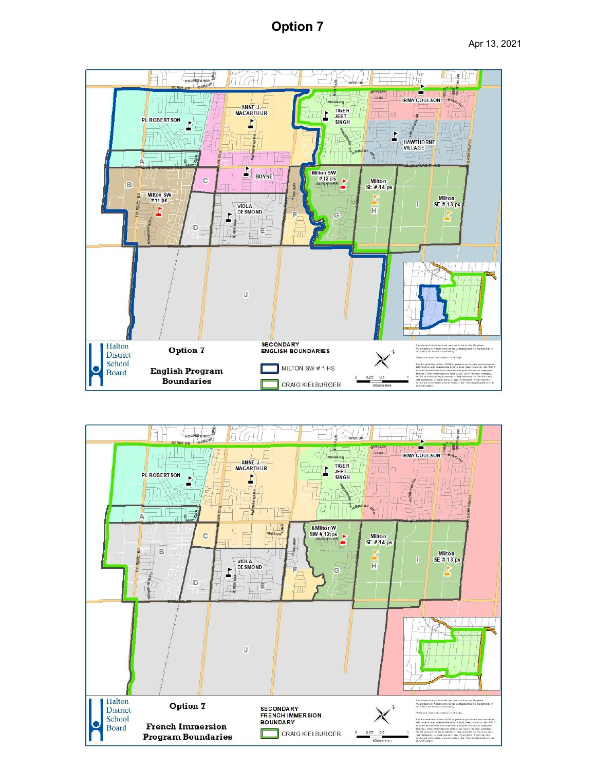# **Option 7**



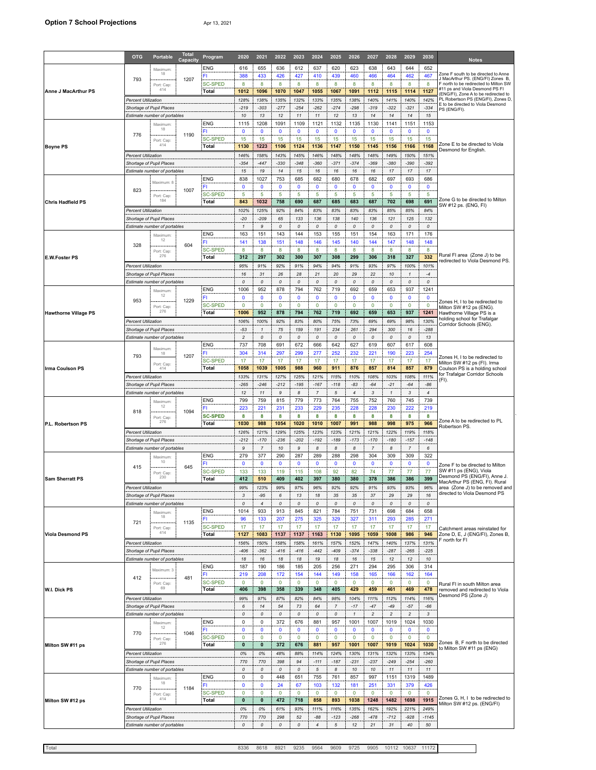|                             | <b>OTG</b>                                               | <b>Portable</b>                          | <b>Tota</b><br><b>Capacity</b> | Program                 | 2020                           | 2021                  | 2022               | 2023               | 2024           | 2025               | 2026                  | 2027                | 2028                      | 2029                | 2030                | <b>Notes</b>                                                                                                      |  |
|-----------------------------|----------------------------------------------------------|------------------------------------------|--------------------------------|-------------------------|--------------------------------|-----------------------|--------------------|--------------------|----------------|--------------------|-----------------------|---------------------|---------------------------|---------------------|---------------------|-------------------------------------------------------------------------------------------------------------------|--|
|                             |                                                          | Maximum                                  |                                | <b>ENG</b>              | 616                            | 655                   | 636                | 612                | 637            | 620                | 623                   | 638                 | 643                       | 644                 | 652                 |                                                                                                                   |  |
|                             | 793                                                      | 18                                       | 1207                           | FI<br><b>SC-SPED</b>    | 388<br>8                       | 433<br>8              | 426<br>8           | 427<br>8           | 410<br>8       | 439<br>8           | 460<br>8              | 466<br>8            | 464<br>8                  | 462<br>8            | 467<br>8            | Zone F south to be directed to Anne<br>J MacArthur PS. (ENG/FI) Zones B,<br>F north to be redirected to Milton SW |  |
| <b>Anne J MacArthur PS</b>  |                                                          | Port: Cap<br>414                         |                                | Total                   | 1012                           | 1096                  | 1070               | 1047               | 1055           | 1067               | 1091                  | 1112                | 1115                      | 1114                | 1127                | #11 ps and Viola Desmond PS FI<br>(ENG/FI), Zone A to be redirected to                                            |  |
|                             | Percent Utilization                                      |                                          |                                |                         | 128%                           | 138%                  | 135%               | 132%               | 133%           | 135%               | 138%                  | 140%                | 141%                      | 140%                | 142%                | PL Robertson PS (ENG/FI), Zones D,<br>E to be directed to Viola Desmond                                           |  |
|                             | Shortage of Pupil Places<br>Estimate number of portables |                                          |                                |                         | $-219$<br>10                   | $-303$<br>13          | $-277$<br>12       | $-254$<br>$11$     | $-262$<br>11   | $-274$<br>12       | $-298$<br>13          | $-319$<br>14        | $-322$<br>14              | $-321$<br>14        | $-334$<br>15        | PS (ENG/FI).                                                                                                      |  |
|                             |                                                          | Maximum                                  |                                | <b>ENG</b>              | 1115                           | 1208                  | 1091               | 1109               | 1121           | 1132               | 1135                  | 1130                | 1141                      | 1151                | 1153                |                                                                                                                   |  |
|                             | 776                                                      | 18                                       | 1190                           | FI                      | $\mathbf 0$                    | $\mathbf 0$           | $\mathbf 0$        | $\mathbf 0$        | $\mathbf{0}$   | 0                  | $\mathbf 0$           | $\mathbf 0$         | $\mathbf 0$               | $\mathbf 0$         | $\mathbf 0$         |                                                                                                                   |  |
| <b>Boyne PS</b>             |                                                          | Port: Cap:<br>414                        |                                | SC-SPED<br>Total        | 15<br>1130                     | 15<br>1223            | 15<br>1106         | 15<br>1124         | 15<br>1136     | 15<br>1147         | 15<br>1150            | 15<br>1145          | 15<br>1156                | 15<br>1166          | 15<br>1168          | Zone E to be directed to Viola                                                                                    |  |
|                             | <b>Percent Utilization</b>                               |                                          |                                |                         | 146%                           | 158%                  | 143%               | 145%               | 146%           | 148%               | 148%                  | 148%                | 149%                      | 150%                | 151%                | Desmond for English.                                                                                              |  |
|                             | Shortage of Pupil Places<br>Estimate number of portables |                                          |                                |                         | $-354$<br>15                   | $-447$<br>19          | $-330$<br>14       | $-348$<br>15       | $-360$<br>16   | $-371$<br>16       | $-374$<br>16          | $-369$<br>16        | $-380$<br>17              | $-390$<br>17        | $-392$<br>17        |                                                                                                                   |  |
|                             | Maximum: 8                                               |                                          |                                | <b>ENG</b>              | 838                            | 1027                  | 753                | 685                | 682            | 680                | 678                   | 682                 | 697                       | 693                 | 686                 |                                                                                                                   |  |
|                             | 823                                                      |                                          | 1007                           | FI                      | $\mathbf 0$                    | $\mathbf 0$           | $\mathbf 0$        | $\mathbf 0$        | 0              | 0                  | $\mathbf 0$           | $\mathbf 0$         | $\mathbf 0$               | $\mathbf 0$         | $\mathbf 0$         |                                                                                                                   |  |
| <b>Chris Hadfield PS</b>    |                                                          | Port: Cap:<br>184                        |                                | <b>SC-SPED</b><br>Total | 5<br>843                       | 5<br>1032             | 5<br>758           | 5<br>690           | 5<br>687       | 5<br>685           | 5<br>683              | 5<br>687            | 5<br>702                  | 5<br>698            | 5<br>691            | Zone G to be directed to Milton                                                                                   |  |
|                             | Percent Utilization                                      |                                          |                                |                         | 102%                           | 125%                  | 92%                | 84%                | 83%            | 83%                | 83%                   | 83%                 | 85%                       | 85%                 | 84%                 | SW #12 ps. (ENG, FI)                                                                                              |  |
|                             | Shortage of Pupil Places                                 |                                          |                                |                         | $-20$                          | $-209$                | 65                 | 133                | 136            | 138                | 140                   | 136                 | 121                       | 125                 | 132                 |                                                                                                                   |  |
|                             |                                                          | Estimate number of portables<br>Maximum: |                                | <b>ENG</b>              | $\mathbf{1}$<br>163            | 9<br>151              | 0<br>143           | 0<br>144           | 0<br>153       | 0<br>155           | 0<br>151              | 0<br>154            | 0<br>163                  | 0<br>171            | 0<br>176            |                                                                                                                   |  |
|                             | 328                                                      | 12                                       | 604                            | FI                      | 141                            | 138                   | 151                | 148                | 146            | 145                | 140                   | 144                 | 147                       | 148                 | 148                 |                                                                                                                   |  |
| <b>E.W.Foster PS</b>        |                                                          | Port: Cap<br>276                         |                                | SC-SPED<br>Total        | 8<br>312                       | 8<br>297              | 8<br>302           | 8<br>300           | 8<br>307       | 8<br>308           | 8<br>299              | 8<br>306            | 8<br>318                  | 8<br>327            | 8<br>332            | Rural FI area (Zone J) to be                                                                                      |  |
|                             | Percent Utilization                                      |                                          |                                |                         | 95%                            | 91%                   | 92%                | 91%                | 94%            | 94%                | 91%                   | 93%                 | 97%                       | 100%                | 101%                | redirected to Viola Desmond PS.                                                                                   |  |
|                             |                                                          | Shortage of Pupil Places                 |                                |                         | 16                             | 31                    | 26                 | 28                 | 21             | 20                 | 29                    | 22                  | 10                        | $\mathbf{1}$        | $-4$                |                                                                                                                   |  |
|                             |                                                          | Estimate number of portables<br>Maximum  |                                | <b>ENG</b>              | 0<br>1006                      | $\mathcal{O}$<br>952  | 0<br>878           | 0<br>794           | 0<br>762       | 0<br>719           | 0<br>692              | 0<br>659            | 0<br>653                  | 0<br>937            | 0<br>1241           |                                                                                                                   |  |
|                             | 953                                                      | 12                                       | 1229                           | FI                      | $\mathbf 0$                    | $\mathbf 0$           | $\mathbf 0$        | $\mathbf 0$        | $\mathbf{0}$   | 0                  | $\mathbf 0$           | $\mathbf 0$         | $\mathbf 0$               | $\mathbf 0$         | $\mathbf 0$         | Zones H. I to be redirected to                                                                                    |  |
| <b>Hawthorne Village PS</b> |                                                          | Port: Cap:<br>276                        |                                | <b>SC-SPED</b><br>Total | 0<br>1006                      | $\mathbf 0$<br>952    | 0<br>878           | $\mathbf 0$<br>794 | 0<br>762       | 0<br>719           | $\mathbf 0$<br>692    | 0<br>659            | $\mathbf 0$<br>653        | $\mathbf 0$<br>937  | $\mathbf 0$<br>1241 | Milton SW #12 ps (ENG).<br>Hawthorne Village PS is a                                                              |  |
|                             | Percent Utilization                                      |                                          |                                |                         | 106%                           | 100%                  | 92%                | 83%                | 80%            | 75%                | 73%                   | 69%                 | 69%                       | 98%                 | 130%                | nolding school for Trafalgar                                                                                      |  |
|                             | Shortage of Pupil Places                                 |                                          |                                |                         | $-53$                          | $\mathbf{1}$          | 75                 | 159                | 191            | 234                | 261                   | 294                 | 300                       | 16                  | $-288$              | Corridor Schools (ENG).                                                                                           |  |
|                             |                                                          | Estimate number of portables             |                                | <b>ENG</b>              | $\overline{\mathbf{c}}$<br>737 | 0<br>708              | $\pmb{o}$<br>691   | 0<br>672           | 0<br>666       | 0<br>642           | 0<br>627              | 0<br>619            | $\pmb{\mathit{o}}$<br>607 | 0<br>617            | 13<br>608           |                                                                                                                   |  |
|                             | 18<br>793                                                | Maximum                                  | 1207                           | FI                      | 304                            | 314                   | 297                | 299                | 277            | 252                | 232                   | 221                 | 190                       | 223                 | 254                 | Zones H, I to be redirected to                                                                                    |  |
|                             |                                                          | Port: Cap:                               |                                | SC-SPED                 | 17                             | 17                    | 17                 | 17                 | 17             | 17                 | 17                    | 17                  | 17                        | 17                  | 17                  | Milton SW #12 ps (FI). Irma                                                                                       |  |
| <b>Irma Coulson PS</b>      | Total<br>414<br><b>Percent Utilization</b>               |                                          |                                |                         | 1058<br>133%                   | 1039<br>131%          | 1005<br>127%       | 988<br>125%        | 960<br>121%    | 911<br>115%        | 876<br>110%           | 857<br>108%         | 814<br>103%               | 857<br>108%         | 879<br>111%         | Coulson PS is a holding school<br>for Trafalgar Corridor Schools                                                  |  |
|                             | Shortage of Pupil Places                                 |                                          |                                |                         | $-265$                         | $-246$                | $-212$             | $-195$             | $-167$         | $-118$             | $-83$                 | $-64$               | $-21$                     | $-64$               | $-86$               | (FI).                                                                                                             |  |
|                             | Estimate number of portables                             |                                          |                                | <b>ENG</b>              | 12<br>799                      | 11<br>759             | 9<br>815           | 8<br>779           | 7<br>773       | 5<br>764           | $\overline{4}$<br>755 | 3<br>752            | $\mathbf{1}$<br>760       | 3<br>745            | 4<br>739            |                                                                                                                   |  |
|                             |                                                          | Maximum<br>12                            |                                | FI                      | 223                            | 221                   | 231                | 233                | 229            | 235                | 228                   | 228                 | 230                       | 222                 | 219                 |                                                                                                                   |  |
|                             | 818                                                      | Port: Cap:                               | 1094                           | <b>SC-SPED</b>          | 8                              | 8                     | 8                  | 8                  | 8              | 8                  | 8                     | 8                   | 8                         | 8                   | 8                   | Zone A to be redirected to PL                                                                                     |  |
| P.L. Robertson PS           | <b>Percent Utilization</b>                               | 276                                      |                                | Total                   | 1030<br>126%                   | 988<br>121%           | 1054<br>129%       | 1020<br>125%       | 1010<br>123%   | 1007<br>123%       | 991<br>121%           | 988<br>121%         | 998<br>122%               | 975<br>119%         | 966<br>118%         | Robertson PS.                                                                                                     |  |
|                             | Shortage of Pupil Places                                 |                                          |                                | $-212$                  | $-170$                         | $-236$                | $-202$             | $-192$             | $-189$         | $-173$             | $-170$                | $-180$              | $-157$                    | $-148$              |                     |                                                                                                                   |  |
|                             | Estimate number of portables<br><b>ENG</b>               |                                          |                                |                         | 9<br>279                       | $\overline{7}$<br>377 | 10<br>290          | 9                  | 8<br>289       | 8                  | 8<br>298              | $\overline{7}$      | 8<br>309                  | $\overline{7}$      | 6<br>322            |                                                                                                                   |  |
|                             |                                                          | Maximum:<br>10                           | 645                            | FI                      | $\mathbf 0$                    | $\mathbf 0$           | $\mathbf 0$        | 287<br>$\mathbf 0$ | $\mathbf{0}$   | 288<br>$\Omega$    | $\mathbf 0$           | 304<br>$\mathbf 0$  | $\mathbf 0$               | 309<br>$\mathbf 0$  | 0                   | Zone F to be directed to Milton                                                                                   |  |
|                             | 415                                                      | Port: Cap:<br>230                        |                                | <b>SC-SPED</b>          | 133                            | 133                   | 119                | 115                | 108            | 92                 | 82                    | 74                  | 77                        | 77                  | 77                  | SW #11 ps (ENG), Viola<br>Desmond PS (ENG/FI), Anne J.                                                            |  |
| <b>Sam Sherratt PS</b>      | <b>Percent Utilization</b>                               |                                          |                                | Total                   | 412<br>99%                     | 510<br>123%           | 409<br>99%         | 402<br>97%         | 397<br>96%     | 380<br>92%         | 380<br>92%            | 378<br>91%          | 386<br>93%                | 386<br>93%          | 399<br>96%          | MacArthur PS (ENG, FI). Rural<br>area (Zone J) to be removed and                                                  |  |
|                             | Shortage of Pupil Places                                 |                                          |                                |                         | 3                              | $-95$                 | 6                  | 13                 | 18             | 35                 | 35                    | 37                  | 29                        | 29                  | 16                  | directed to Viola Desmond PS                                                                                      |  |
|                             | Estimate number of portables                             |                                          |                                |                         | 0                              | $\overline{4}$        | $\pmb{\mathit{o}}$ | $\cal O$           | 0              | 0                  | 0                     | 0                   | $\pmb{\mathit{o}}$        | $\pmb{\mathit{o}}$  | 0                   |                                                                                                                   |  |
|                             |                                                          | Maximum<br>18                            |                                | <b>ENG</b><br>FI        | 1014<br>96                     | 933<br>133            | 913<br>207         | 845<br>275         | 821<br>325     | 784<br>329         | 751<br>327            | 731<br>311          | 698<br>293                | 684<br>285          | 658<br>271          |                                                                                                                   |  |
|                             | 721                                                      | Port: Cap:<br>414                        | 1135                           | <b>SC-SPED</b>          | 17                             | 17                    | 17                 | 17                 | 17             | 17                 | 17                    | 17                  | 17                        | 17                  | 17                  | Catchment areas reinstated for                                                                                    |  |
| <b>Viola Desmond PS</b>     |                                                          |                                          |                                | Total                   | 1127<br>156%                   | 1083<br>150%          | 1137<br>158%       | 1137<br>158%       | 1163<br>161%   | 1130<br>157%       | 1095<br>152%          | 1059<br>147%        | 1008<br>140%              | 986<br>137%         | 946<br>131%         | Zone D, E, J (ENG/FI), Zones B,<br>F north for FI                                                                 |  |
|                             | <b>Percent Utilization</b><br>Shortage of Pupil Places   |                                          |                                |                         | $-406$                         | $-362$                | $-416$             | $-416$             | $-442$         | $-409$             | $-374$                | $-338$              | $-287$                    | $-265$              | $-225$              |                                                                                                                   |  |
|                             |                                                          | Estimate number of portables             |                                |                         | 18                             | 16                    | 18                 | 18                 | 19             | 18                 | 16                    | 15                  | 12                        | 12                  | 10                  |                                                                                                                   |  |
|                             |                                                          | Maximum: 3                               |                                | <b>ENG</b><br>FI.       | 187<br>219                     | 190<br>208            | 186<br>172         | 185<br>154         | 205<br>144     | 256<br>149         | 271<br>158            | 294<br>165          | 295<br>166                | 306<br>162          | 314<br>164          |                                                                                                                   |  |
|                             | 412                                                      | Port: Cap:                               | 481                            | <b>SC-SPED</b>          | $\mathbf 0$                    | $\mathbf 0$           | $\mathbf 0$        | $\mathbf 0$        | $\mathbf 0$    | 0                  | $\mathbf 0$           | $\mathbf 0$         | $\mathbf 0$               | $\mathbf 0$         | $\mathbf 0$         | Rural FI in south Milton area                                                                                     |  |
| W.I. Dick PS                | 69                                                       |                                          |                                | Total                   | 406<br>99%                     | 398<br>97%            | 358<br>87%         | 339<br>82%         | 348<br>84%     | 405<br>98%         | 429<br>104%           | 459<br>111%         | 461<br>112%               | 469<br>114%         | 478<br>116%         | removed and redirected to Viola<br>Desmond PS (Zone J)                                                            |  |
|                             | <b>Percent Utilization</b><br>Shortage of Pupil Places   |                                          |                                |                         | 6                              | 14                    | 54                 | 73                 | 64             | $\overline{7}$     | $-17$                 | $-47$               | $-49$                     | $-57$               | $-66$               |                                                                                                                   |  |
|                             |                                                          | Estimate number of portables             |                                |                         | 0                              | 0                     | $\Omega$           | $\cal O$           | $\Omega$       | $\pmb{\mathit{o}}$ | $\mathbf{1}$          | $\sqrt{2}$          | $\overline{c}$            | $\overline{c}$      | 3                   |                                                                                                                   |  |
|                             | 770                                                      | Maximum<br>12                            | 1046                           | <b>ENG</b><br>FI        | 0<br>$\mathbf 0$               | 0<br>$\mathbf 0$      | 372<br>$\mathbf 0$ | 676<br>$\mathbf 0$ | 881<br>0       | 957<br>0           | 1001<br>$\mathbf 0$   | 1007<br>$\mathbf 0$ | 1019<br>$\mathbf 0$       | 1024<br>$\mathbf 0$ | 1030<br>$\mathbf 0$ |                                                                                                                   |  |
|                             |                                                          | Port: Cap:                               |                                | <b>SC-SPED</b>          | $\mathbf 0$                    | $\mathbf 0$           | $\mathbf 0$        | $\mathbf 0$        | $\mathbf 0$    | 0                  | $\mathbf 0$           | $\mathbf 0$         | $\mathbf 0$               | $\mathbf 0$         | $\mathbf 0$         |                                                                                                                   |  |
| Milton SW #11 ps            | 276<br>Total                                             |                                          |                                |                         | $\mathbf 0$                    | $\mathbf 0$           | 372                | 676                | 881            | 957                | 1001                  | 1007                | 1019                      | 1024                | 1030                | Zones B, F north to be directed<br>to Milton SW #11 ps (ENG)                                                      |  |
|                             | Percent Utilization<br>Shortage of Pupil Places          |                                          |                                |                         | 0%<br>770                      | 0%<br>770             | 48%<br>398         | 88%<br>94          | 114%<br>$-111$ | 124%<br>$-187$     | 130%<br>$-231$        | 131%<br>$-237$      | 132%<br>$-249$            | 133%<br>$-254$      | 134%<br>$-260$      |                                                                                                                   |  |
|                             |                                                          | Estimate number of portables             |                                |                         | 0                              | 0                     | $\Omega$           | $\cal O$           | $\sqrt{5}$     | 8                  | 10                    | 10                  | $11$                      | 11                  | 11                  |                                                                                                                   |  |
|                             |                                                          | Maximum:<br>18                           |                                | ENG<br>FI               | 0<br>$\mathbf 0$               | 0<br>$\mathbf 0$      | 448<br>24          | 651<br>67          | 755<br>103     | 761<br>132         | 857<br>181            | 997<br>251          | 1151<br>331               | 1319<br>379         | 1489<br>426         |                                                                                                                   |  |
| Milton SW #12 ps            | 770                                                      | Port: Cap:                               | 1184                           | <b>SC-SPED</b>          | $\mathbf 0$                    | $\mathbf 0$           | $\mathbf 0$        | $\mathbf 0$        | $\mathbf 0$    | $\mathbf 0$        | $\mathbf 0$           | $\mathbf 0$         | $\mathbf 0$               | $\mathbf 0$         | $\mathbf 0$         |                                                                                                                   |  |
|                             |                                                          | 414                                      |                                | Total                   | $\mathbf 0$                    | 0                     | 472                | 718                | 858            | 893                | 1038                  | 1248                | 1482                      | 1698                | 1915                | Zones G, H, I to be redirected to<br>Milton SW #12 ps. (ENG/FI)                                                   |  |
|                             | <b>Percent Utilization</b><br>Shortage of Pupil Places   |                                          |                                | 0%<br>770               | 0%<br>770                      | 61%<br>298            | 93%<br>52          | 111%<br>$-88$      | 116%<br>$-123$ | 135%<br>$-268$     | 162%<br>$-478$        | 192%<br>$-712$      | 221%<br>$-928$            | 249%<br>$-1145$     |                     |                                                                                                                   |  |
|                             | Estimate number of portables                             |                                          |                                | $\Omega$                | $\cal O$                       | $\cal O$              | $\cal O$           | $\overline{4}$     | 5              | 12                 | 21                    | 31                  | 40                        | 50                  |                     |                                                                                                                   |  |

 $\Box$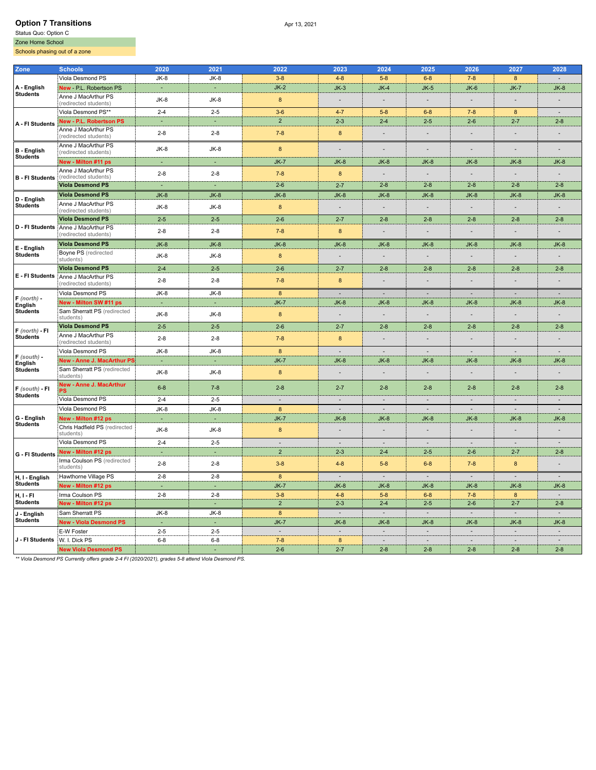## **Option 7 Transitions** Apr 13, 2021

Zone Home School

Schools phasing out of a zone

| Zone                                        | Schools                                                      | 2020    | 2021    | 2022                     | 2023           | 2024                     | 2025                     | 2026                     | 2027                     | 2028           |
|---------------------------------------------|--------------------------------------------------------------|---------|---------|--------------------------|----------------|--------------------------|--------------------------|--------------------------|--------------------------|----------------|
| A - English                                 | Viola Desmond PS                                             | $JK-8$  | $JK-8$  | $3 - 8$                  | $4 - 8$        | $5 - 8$                  | $6 - 8$                  | $7 - 8$                  | 8                        |                |
|                                             | New - P.L. Robertson PS                                      | $\sim$  | ×       | $JK-2$                   | $JK-3$         | $JK-4$                   | $JK-5$                   | $JK-6$                   | $JK-7$                   | $JK-8$         |
| Students                                    | Anne J MacArthur PS<br>(redirected students)                 | JK-8    | $JK-8$  | $\bf 8$                  | L.             | $\overline{\phantom{a}}$ | $\overline{\phantom{a}}$ | $\overline{\phantom{a}}$ |                          |                |
| A - FI Students                             | Viola Desmond PS**                                           | $2 - 4$ | $2 - 5$ | $3-6$                    | $4 - 7$        | $5 - 8$                  | $6 - 8$                  | $7 - 8$                  | 8                        | ÷.             |
|                                             | <b>New - P.L. Robertson PS</b>                               | ÷.      | ÷.      | $\overline{2}$           | $2 - 3$        | $2 - 4$                  | $2 - 5$                  | $2 - 6$                  | $2 - 7$                  | $2 - 8$        |
|                                             | Anne J MacArthur PS<br>(redirected students)                 | $2 - 8$ | $2 - 8$ | $7 - 8$                  | 8              | ÷.                       |                          |                          |                          |                |
| B - English<br><b>Students</b>              | Anne J MacArthur PS<br>(redirected students)                 | $JK-8$  | $JK-8$  | 8                        | Ē,             | $\overline{\phantom{a}}$ | $\overline{\phantom{a}}$ | $\sim$                   |                          |                |
|                                             | New - Milton #11 ps                                          |         | ٠       | $JK-7$                   | $JK-8$         | $JK-8$                   | $JK-8$                   | $JK-8$                   | $JK-8$                   | $JK-8$         |
| <b>B</b> - FI Students                      | Anne J MacArthur PS<br>(redirected students)                 | $2 - 8$ | $2 - 8$ | $7 - 8$                  | 8              | $\overline{\phantom{a}}$ | $\overline{\phantom{a}}$ |                          |                          |                |
|                                             | Viola Desmond PS                                             | ÷.      | ÷.      | $2 - 6$                  | $2 - 7$        | $2 - 8$                  | $2 - 8$                  | $2 - 8$                  | $2 - 8$                  | $2 - 8$        |
|                                             | <b>Viola Desmond PS</b>                                      | $JK-8$  | $JK-8$  | $JK-8$                   | $JK-8$         | $JK-8$                   | $JK-8$                   | $JK-8$                   | $JK-8$                   | $JK-8$         |
| D - English<br><b>Students</b>              | Anne J MacArthur PS<br>(redirected students)                 | $JK-8$  | JK-8    | $\bf 8$                  | $\frac{1}{2}$  | $\overline{\phantom{a}}$ | $\overline{\phantom{a}}$ | $\overline{\phantom{a}}$ | $\overline{\phantom{a}}$ |                |
|                                             | <b>Viola Desmond PS</b>                                      | $2 - 5$ | $2 - 5$ | $2 - 6$                  | $2 - 7$        | $2 - 8$                  | $2 - 8$                  | $2 - 8$                  | $2 - 8$                  | $2 - 8$        |
|                                             | D - Fl Students Anne J MacArthur PS<br>(redirected students) | $2 - 8$ | $2 - 8$ | $7 - 8$                  | 8              |                          |                          |                          |                          |                |
|                                             | <b>Viola Desmond PS</b>                                      | $JK-8$  | $JK-8$  | $JK-8$                   | $JK-8$         | $JK-8$                   | $JK-8$                   | $JK-8$                   | $JK-8$                   | $JK-8$         |
| $E -$ English<br><b>Students</b>            | Boyne PS (redirected<br>students)                            | $JK-8$  | $JK-8$  | $\bf{8}$                 | ÷,             | $\overline{\phantom{a}}$ | $\overline{\phantom{a}}$ | $\overline{\phantom{a}}$ | $\overline{\phantom{a}}$ |                |
|                                             | <b>Viola Desmond PS</b>                                      | $2 - 4$ | $2 - 5$ | $2 - 6$                  | $2 - 7$        | $2 - 8$                  | $2 - 8$                  | $2 - 8$                  | $2 - 8$                  | $2 - 8$        |
| E - FI Students                             | Anne J MacArthur PS<br>(redirected students)                 | $2 - 8$ | $2 - 8$ | $7 - 8$                  | 8              |                          |                          |                          |                          |                |
|                                             | Viola Desmond PS                                             | JK-8    | JK-8    | 8                        | ÷              | $\blacksquare$           | $\overline{\phantom{a}}$ | $\overline{\phantom{a}}$ | $\sim$                   | $\sim$         |
| $F$ (north) -<br>English<br><b>Students</b> | New - Milton SW #11 ps                                       | ÷.      | ×       | $JK-7$                   | $JK-8$         | $JK-8$                   | $JK-8$                   | $JK-8$                   | $JK-8$                   | $JK-8$         |
|                                             | Sam Sherratt PS (redirected<br>students)                     | $JK-8$  | $JK-8$  | 8                        | ÷,             | $\overline{\phantom{a}}$ | $\overline{a}$           |                          |                          |                |
|                                             | <b>Viola Desmond PS</b>                                      | $2 - 5$ | $2 - 5$ | $2 - 6$                  | $2 - 7$        | $2 - 8$                  | $2 - 8$                  | $2 - 8$                  | $2 - 8$                  | $2 - 8$        |
| $F$ (north) - FI<br><b>Students</b>         | Anne J MacArthur PS<br>(redirected students)                 | $2 - 8$ | $2 - 8$ | $7 - 8$                  | 8              | $\overline{\phantom{a}}$ | ÷,                       | $\sim$                   |                          |                |
|                                             | Viola Desmond PS                                             | $JK-8$  | $JK-8$  | $\bf8$                   | $\sim$         | $\overline{\phantom{a}}$ | $\sim$                   | $\overline{a}$           | $\overline{\phantom{a}}$ | $\sim$         |
| $F$ (south) -<br>English                    | New - Anne J. MacArthur PS                                   |         |         | $JK-7$                   | $JK-8$         | $JK-8$                   | $JK-8$                   | $JK-8$                   | $JK-8$                   | $JK-8$         |
| <b>Students</b>                             | Sam Sherratt PS (redirected<br>students)                     | $JK-8$  | $JK-8$  | $\bf 8$                  | $\overline{a}$ |                          | $\overline{\phantom{a}}$ |                          |                          |                |
| $F$ (south) - FI                            | <b>New - Anne J. MacArthur</b><br>PS                         | $6 - 8$ | $7 - 8$ | $2 - 8$                  | $2 - 7$        | $2 - 8$                  | $2 - 8$                  | $2 - 8$                  | $2 - 8$                  | $2 - 8$        |
| <b>Students</b>                             | Viola Desmond PS                                             | $2 - 4$ | $2 - 5$ | $\overline{\phantom{a}}$ | $\sim$         | $\overline{\phantom{a}}$ | $\overline{\phantom{a}}$ | $\overline{\phantom{a}}$ | $\overline{\phantom{a}}$ |                |
|                                             | Viola Desmond PS                                             | $JK-8$  | JK-8    | 8                        | ÷.             | $\overline{a}$           | $\overline{a}$           | $\overline{a}$           | ÷                        | $\overline{a}$ |
| G - English                                 | New - Milton #12 ps                                          | ÷.      | ÷.      | $JK-7$                   | $JK-8$         | $JK-8$                   | $JK-8$                   | $JK-8$                   | $JK-8$                   | $JK-8$         |
| <b>Students</b>                             | Chris Hadfield PS (redirected<br>students)                   | $JK-8$  | $JK-8$  | $\bf 8$                  | ÷.             | ÷.                       | $\overline{a}$           |                          |                          |                |
|                                             | Viola Desmond PS                                             | $2 - 4$ | $2 - 5$ | $\sim$                   | $\sim$         | $\sim$                   | $\sim$                   | $\sim$                   | $\sim$                   | $\sim$         |
| G - FI Students                             | New - Milton #12 ps                                          |         |         | $\overline{2}$           | $2 - 3$        | $2 - 4$                  | $2 - 5$                  | $2 - 6$                  | $2 - 7$                  | $2 - 8$        |
|                                             | Irma Coulson PS (redirected<br>students)                     | $2 - 8$ | $2 - 8$ | $3 - 8$                  | $4 - 8$        | $5 - 8$                  | $6 - 8$                  | $7 - 8$                  | $\boldsymbol{8}$         |                |
| H, I - English<br><b>Students</b>           | Hawthorne Village PS                                         | $2 - 8$ | $2 - 8$ | 8                        |                | ÷,                       |                          |                          |                          |                |
|                                             | New - Milton #12 ps                                          | ٠       | ٠       | $JK-7$                   | $JK-8$         | $JK-8$                   | $JK-8$                   | $JK-8$                   | $JK-8$                   | $JK-8$         |
| H, I - FI                                   | Irma Coulson PS                                              | $2 - 8$ | $2 - 8$ | $3 - 8$                  | $4 - 8$        | $5 - 8$                  | $6 - 8$                  | $7 - 8$                  | 8                        | $\sim$         |
| <b>Students</b>                             | New - Milton #12 ps                                          |         | $\Box$  | $\overline{2}$           | $2 - 3$        | $2 - 4$                  | $2 - 5$                  | $2 - 6$                  | $2 - 7$                  | $2 - 8$        |
| J - English                                 | Sam Sherratt PS                                              | $JK-8$  | JK-8    | $\bf 8$                  | $\sim$         | $\overline{\phantom{a}}$ | $\sim$                   | $\sim$                   | ÷.                       | ÷.             |
| <b>Students</b>                             | <b>New - Viola Desmond PS</b>                                | ÷,      | ×.      | $JK-7$                   | $JK-8$         | $JK-8$                   | $JK-8$                   | $JK-8$                   | $JK-8$                   | $JK-8$         |
|                                             | E-W Foster                                                   | $2 - 5$ | $2 - 5$ | $\overline{\phantom{a}}$ | $\sim$         | $\sim$                   | $\sim$                   | $\overline{\phantom{a}}$ | $\sim$                   |                |
| J - FI Students                             | W. I. Dick PS                                                | $6 - 8$ | $6 - 8$ | $7 - 8$                  | 8              | $\overline{\phantom{a}}$ | $\overline{a}$           | $\overline{a}$           | $\overline{\phantom{a}}$ |                |
|                                             | <b>New Viola Desmond PS</b>                                  |         |         | $2-6$                    | $2 - 7$        | $2 - 8$                  | $2 - 8$                  | $2 - 8$                  | $2 - 8$                  | $2 - 8$        |
|                                             |                                                              |         |         |                          |                |                          |                          |                          |                          |                |

*\*\* Viola Desmond PS Currently offers grade 2-4 FI (2020/2021), grades 5-8 attend Viola Desmond PS.*